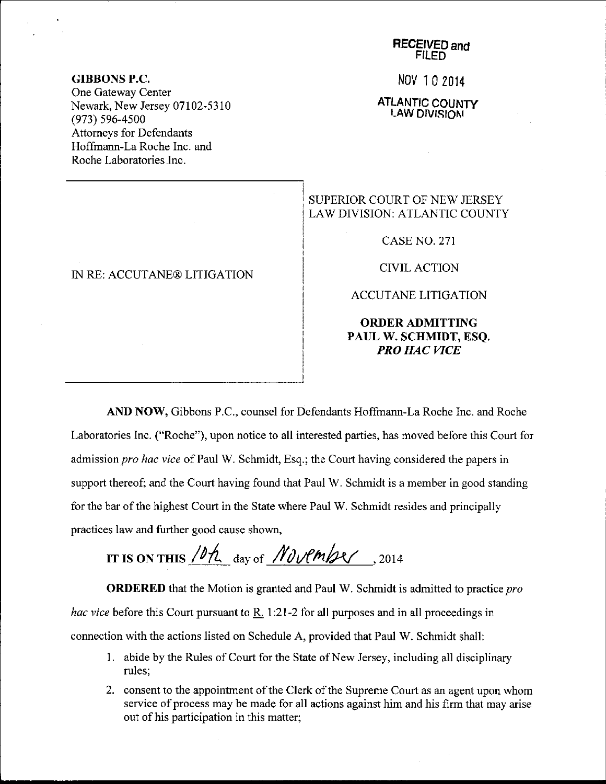Nov 10 2014

ATLANTIC COUNTY **LAW DIVISION** 

## SUPERIOR COURT OF NEW JERSEY LAW DIVISION: ATLANTIC COUNTY

CASE NO. 271

CIVIL ACTION

ACCUTANE LITIGATION

ORDERADMITTING PAUL W. SCHMIDT, ESQ. PRO HAC WCE

AND NOW, Gibbons P.C., counsel for Defendants Hoffrnann-La Roche Inc. and Roche Laboratories Inc. ("Roche"), upon notice to all interested parties, has moved before this Court for admission pro hac vice of Paul W. Schmidt, Esq.; the Court having considered the papers in support thereof; and the Court having found that Paul W. Schmidt is a member in good standing for the bar of the highest Court in the State where Paul W. Schmidt resides and principally practices law and further good cause shown,

IT IS ON THIS  $/0$ / $\ell$  day of *November*, 2014

**ORDERED** that the Motion is granted and Paul W. Schmidt is admitted to practice  $pro$ hac vice before this Court pursuant to  $R<sub>1</sub>$  1:21-2 for all purposes and in all proceedings in connection with the actions listed on Schedule A, provided that Paul W. Schmidt shall:

- <sup>1</sup>. abide by the Rules of Court for the State of New Jersey, including all disciplinary rules;
- 2. consent to the appointment of the Clerk of the Supreme Court as an agent upon whom service of process may be made for all actions against him and his firm that may arise out of his participation in this matter;

GIBBONS P.C.

One Gateway Center Newark, New Jersey 07102-5310 (973) s96-4s00 Attorneys for Defendants Hoffmann-La Roche Inc. and Roche Laboratories Inc.

## IN RE: ACCUTANE@ LITIGATION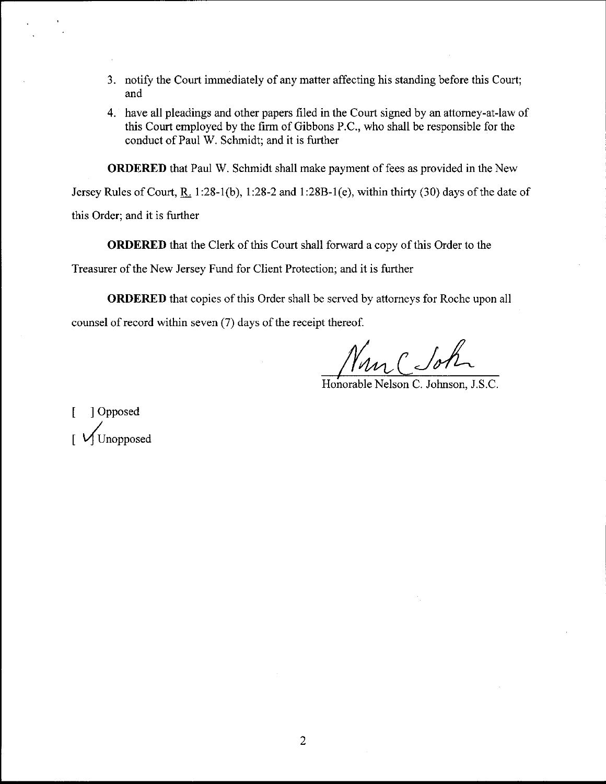- J. notify the Court immediately of any matter affecting his standing before this Court; and
- 4. have all pleadings and other papers filed in the Court signed by an attorney-at-law of this Court employed by the firm of Gibbons P.C., who shall be responsible for the conduct of Paul W. Schmidt; and it is further

ORDERED that Paul W. Schmidt shall make payment of fees as provided in the New

Jersey Rules of Court, R. 1:28-1(b), 1:28-2 and 1:28B-1(e), within thirty (30) days of the date of

this Order; and it is further

ORDERED that the Clerk of this Court shall forward a copy of this Order to the

Treasurer of the New Jersey Fund for Client Protection; and it is further

ORDERED that copies of this Order shall be served by attorneys for Roche upon all counsel of record within seven (7) days of the receipt thereof.

Man ( Sol

Honorable Nelson C. Johnson, J.S.C.

[ ] Opposed  $\sqrt{\text{Unopposed}}$